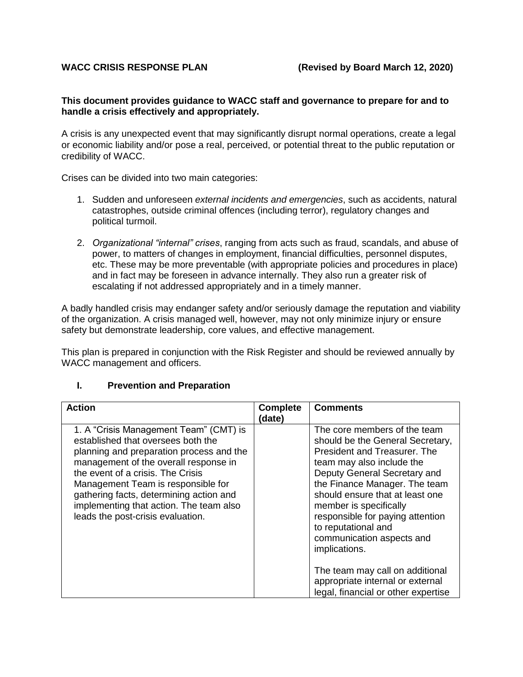### **This document provides guidance to WACC staff and governance to prepare for and to handle a crisis effectively and appropriately.**

A crisis is any unexpected event that may significantly disrupt normal operations, create a legal or economic liability and/or pose a real, perceived, or potential threat to the public reputation or credibility of WACC.

Crises can be divided into two main categories:

- 1. Sudden and unforeseen *external incidents and emergencies*, such as accidents, natural catastrophes, outside criminal offences (including terror), regulatory changes and political turmoil.
- 2. *Organizational "internal" crises*, ranging from acts such as fraud, scandals, and abuse of power, to matters of changes in employment, financial difficulties, personnel disputes, etc. These may be more preventable (with appropriate policies and procedures in place) and in fact may be foreseen in advance internally. They also run a greater risk of escalating if not addressed appropriately and in a timely manner.

A badly handled crisis may endanger safety and/or seriously damage the reputation and viability of the organization. A crisis managed well, however, may not only minimize injury or ensure safety but demonstrate leadership, core values, and effective management.

This plan is prepared in conjunction with the Risk Register and should be reviewed annually by WACC management and officers.

#### **I. Prevention and Preparation**

| <b>Action</b>                                                                                                                                                                                                                                                                                                                                                           | <b>Complete</b> | <b>Comments</b>                                                                                                                                                                                                                                                                                                                                                                                                                                                                    |
|-------------------------------------------------------------------------------------------------------------------------------------------------------------------------------------------------------------------------------------------------------------------------------------------------------------------------------------------------------------------------|-----------------|------------------------------------------------------------------------------------------------------------------------------------------------------------------------------------------------------------------------------------------------------------------------------------------------------------------------------------------------------------------------------------------------------------------------------------------------------------------------------------|
|                                                                                                                                                                                                                                                                                                                                                                         | (date)          |                                                                                                                                                                                                                                                                                                                                                                                                                                                                                    |
| 1. A "Crisis Management Team" (CMT) is<br>established that oversees both the<br>planning and preparation process and the<br>management of the overall response in<br>the event of a crisis. The Crisis<br>Management Team is responsible for<br>gathering facts, determining action and<br>implementing that action. The team also<br>leads the post-crisis evaluation. |                 | The core members of the team<br>should be the General Secretary,<br>President and Treasurer. The<br>team may also include the<br>Deputy General Secretary and<br>the Finance Manager. The team<br>should ensure that at least one<br>member is specifically<br>responsible for paying attention<br>to reputational and<br>communication aspects and<br>implications.<br>The team may call on additional<br>appropriate internal or external<br>legal, financial or other expertise |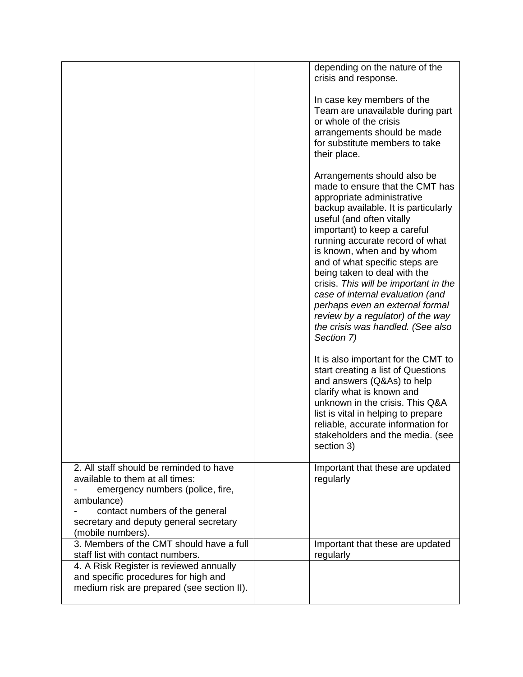|                                                                                                                                                                | depending on the nature of the<br>crisis and response.                                                                                                                                                                                                                                                                                                                                                                                                                                                                                       |
|----------------------------------------------------------------------------------------------------------------------------------------------------------------|----------------------------------------------------------------------------------------------------------------------------------------------------------------------------------------------------------------------------------------------------------------------------------------------------------------------------------------------------------------------------------------------------------------------------------------------------------------------------------------------------------------------------------------------|
|                                                                                                                                                                | In case key members of the<br>Team are unavailable during part<br>or whole of the crisis<br>arrangements should be made<br>for substitute members to take<br>their place.                                                                                                                                                                                                                                                                                                                                                                    |
|                                                                                                                                                                | Arrangements should also be<br>made to ensure that the CMT has<br>appropriate administrative<br>backup available. It is particularly<br>useful (and often vitally<br>important) to keep a careful<br>running accurate record of what<br>is known, when and by whom<br>and of what specific steps are<br>being taken to deal with the<br>crisis. This will be important in the<br>case of internal evaluation (and<br>perhaps even an external formal<br>review by a regulator) of the way<br>the crisis was handled. (See also<br>Section 7) |
|                                                                                                                                                                | It is also important for the CMT to<br>start creating a list of Questions<br>and answers (Q&As) to help<br>clarify what is known and<br>unknown in the crisis. This Q&A<br>list is vital in helping to prepare<br>reliable, accurate information for<br>stakeholders and the media. (see<br>section 3)                                                                                                                                                                                                                                       |
| 2. All staff should be reminded to have<br>available to them at all times:<br>emergency numbers (police, fire,<br>ambulance)<br>contact numbers of the general | Important that these are updated<br>regularly                                                                                                                                                                                                                                                                                                                                                                                                                                                                                                |
| secretary and deputy general secretary<br>(mobile numbers).                                                                                                    |                                                                                                                                                                                                                                                                                                                                                                                                                                                                                                                                              |
| 3. Members of the CMT should have a full<br>staff list with contact numbers.                                                                                   | Important that these are updated<br>regularly                                                                                                                                                                                                                                                                                                                                                                                                                                                                                                |
| 4. A Risk Register is reviewed annually<br>and specific procedures for high and<br>medium risk are prepared (see section II).                                  |                                                                                                                                                                                                                                                                                                                                                                                                                                                                                                                                              |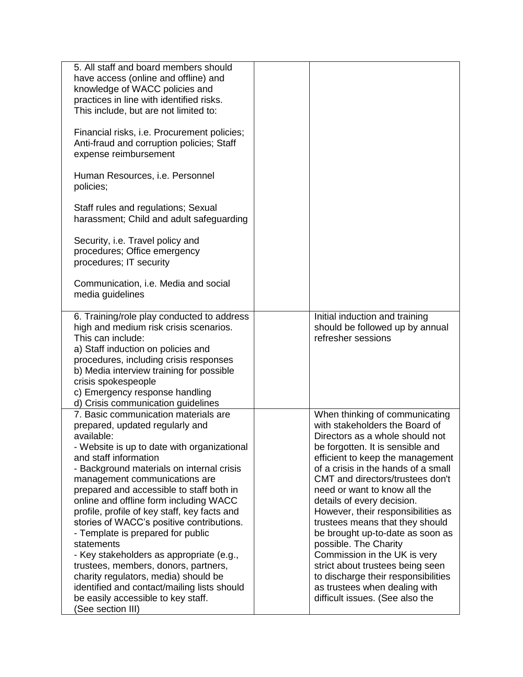| 5. All staff and board members should<br>have access (online and offline) and<br>knowledge of WACC policies and<br>practices in line with identified risks.<br>This include, but are not limited to:                                                                                                                                                                                                                                                                                                                                                                                                                                                                                                                    |                                                                                                                                                                                                                                                                                                                                                                                                                                                                                                                                                                                                                                           |
|-------------------------------------------------------------------------------------------------------------------------------------------------------------------------------------------------------------------------------------------------------------------------------------------------------------------------------------------------------------------------------------------------------------------------------------------------------------------------------------------------------------------------------------------------------------------------------------------------------------------------------------------------------------------------------------------------------------------------|-------------------------------------------------------------------------------------------------------------------------------------------------------------------------------------------------------------------------------------------------------------------------------------------------------------------------------------------------------------------------------------------------------------------------------------------------------------------------------------------------------------------------------------------------------------------------------------------------------------------------------------------|
| Financial risks, i.e. Procurement policies;<br>Anti-fraud and corruption policies; Staff<br>expense reimbursement                                                                                                                                                                                                                                                                                                                                                                                                                                                                                                                                                                                                       |                                                                                                                                                                                                                                                                                                                                                                                                                                                                                                                                                                                                                                           |
| Human Resources, i.e. Personnel<br>policies;                                                                                                                                                                                                                                                                                                                                                                                                                                                                                                                                                                                                                                                                            |                                                                                                                                                                                                                                                                                                                                                                                                                                                                                                                                                                                                                                           |
| Staff rules and regulations; Sexual<br>harassment; Child and adult safeguarding                                                                                                                                                                                                                                                                                                                                                                                                                                                                                                                                                                                                                                         |                                                                                                                                                                                                                                                                                                                                                                                                                                                                                                                                                                                                                                           |
| Security, i.e. Travel policy and<br>procedures; Office emergency<br>procedures; IT security                                                                                                                                                                                                                                                                                                                                                                                                                                                                                                                                                                                                                             |                                                                                                                                                                                                                                                                                                                                                                                                                                                                                                                                                                                                                                           |
| Communication, i.e. Media and social<br>media guidelines                                                                                                                                                                                                                                                                                                                                                                                                                                                                                                                                                                                                                                                                |                                                                                                                                                                                                                                                                                                                                                                                                                                                                                                                                                                                                                                           |
| 6. Training/role play conducted to address<br>high and medium risk crisis scenarios.<br>This can include:<br>a) Staff induction on policies and<br>procedures, including crisis responses<br>b) Media interview training for possible<br>crisis spokespeople<br>c) Emergency response handling<br>d) Crisis communication guidelines                                                                                                                                                                                                                                                                                                                                                                                    | Initial induction and training<br>should be followed up by annual<br>refresher sessions                                                                                                                                                                                                                                                                                                                                                                                                                                                                                                                                                   |
| 7. Basic communication materials are<br>prepared, updated regularly and<br>available:<br>- Website is up to date with organizational<br>and staff information<br>- Background materials on internal crisis<br>management communications are<br>prepared and accessible to staff both in<br>online and offline form including WACC<br>profile, profile of key staff, key facts and<br>stories of WACC's positive contributions.<br>- Template is prepared for public<br>statements<br>- Key stakeholders as appropriate (e.g.,<br>trustees, members, donors, partners,<br>charity regulators, media) should be<br>identified and contact/mailing lists should<br>be easily accessible to key staff.<br>(See section III) | When thinking of communicating<br>with stakeholders the Board of<br>Directors as a whole should not<br>be forgotten. It is sensible and<br>efficient to keep the management<br>of a crisis in the hands of a small<br>CMT and directors/trustees don't<br>need or want to know all the<br>details of every decision.<br>However, their responsibilities as<br>trustees means that they should<br>be brought up-to-date as soon as<br>possible. The Charity<br>Commission in the UK is very<br>strict about trustees being seen<br>to discharge their responsibilities<br>as trustees when dealing with<br>difficult issues. (See also the |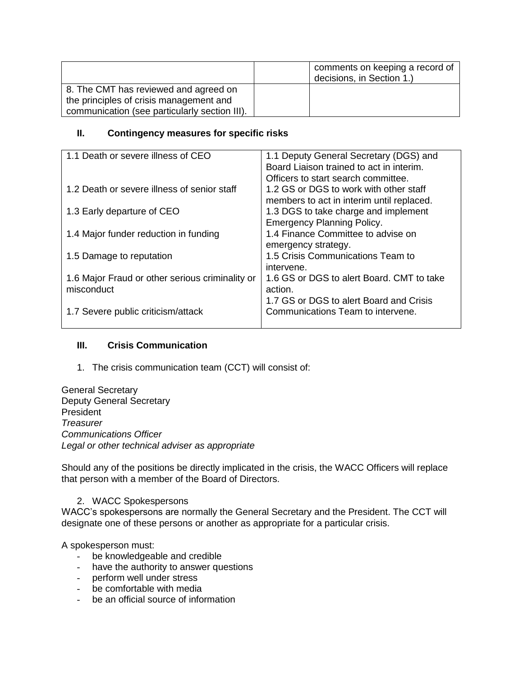|                                               | comments on keeping a record of<br>decisions, in Section 1.) |
|-----------------------------------------------|--------------------------------------------------------------|
| 8. The CMT has reviewed and agreed on         |                                                              |
| the principles of crisis management and       |                                                              |
| communication (see particularly section III). |                                                              |

# **II. Contingency measures for specific risks**

| 1.1 Death or severe illness of CEO              | 1.1 Deputy General Secretary (DGS) and    |
|-------------------------------------------------|-------------------------------------------|
|                                                 | Board Liaison trained to act in interim.  |
|                                                 | Officers to start search committee.       |
| 1.2 Death or severe illness of senior staff     | 1.2 GS or DGS to work with other staff    |
|                                                 | members to act in interim until replaced. |
| 1.3 Early departure of CEO                      | 1.3 DGS to take charge and implement      |
|                                                 | <b>Emergency Planning Policy.</b>         |
| 1.4 Major funder reduction in funding           | 1.4 Finance Committee to advise on        |
|                                                 | emergency strategy.                       |
| 1.5 Damage to reputation                        | 1.5 Crisis Communications Team to         |
|                                                 | intervene.                                |
| 1.6 Major Fraud or other serious criminality or | 1.6 GS or DGS to alert Board. CMT to take |
| misconduct                                      | action.                                   |
|                                                 | 1.7 GS or DGS to alert Board and Crisis   |
| 1.7 Severe public criticism/attack              | Communications Team to intervene.         |
|                                                 |                                           |

# **III. Crisis Communication**

1. The crisis communication team (CCT) will consist of:

General Secretary Deputy General Secretary President *Treasurer Communications Officer Legal or other technical adviser as appropriate*

Should any of the positions be directly implicated in the crisis, the WACC Officers will replace that person with a member of the Board of Directors.

# 2. WACC Spokespersons

WACC's spokespersons are normally the General Secretary and the President. The CCT will designate one of these persons or another as appropriate for a particular crisis.

A spokesperson must:

- be knowledgeable and credible
- have the authority to answer questions
- perform well under stress
- be comfortable with media
- be an official source of information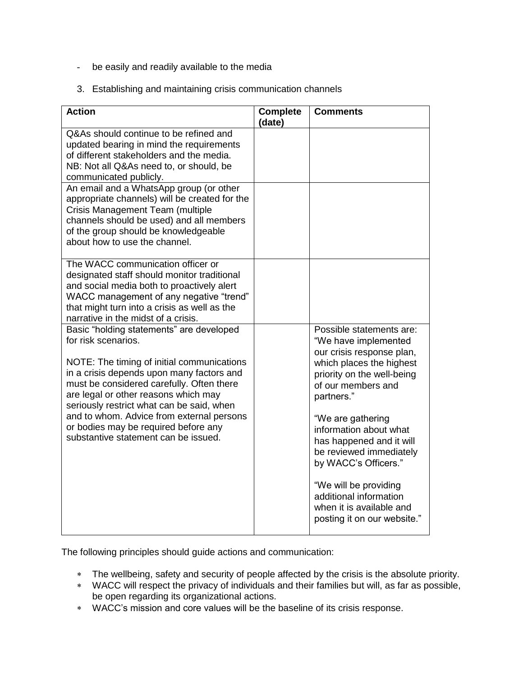- be easily and readily available to the media
- 3. Establishing and maintaining crisis communication channels

| <b>Action</b>                                                                                                                                                                                                                                                                                                                                                                                                             | <b>Complete</b><br>(date) | <b>Comments</b>                                                                                                                                                                                                                                                                   |
|---------------------------------------------------------------------------------------------------------------------------------------------------------------------------------------------------------------------------------------------------------------------------------------------------------------------------------------------------------------------------------------------------------------------------|---------------------------|-----------------------------------------------------------------------------------------------------------------------------------------------------------------------------------------------------------------------------------------------------------------------------------|
| Q&As should continue to be refined and<br>updated bearing in mind the requirements<br>of different stakeholders and the media.<br>NB: Not all Q&As need to, or should, be<br>communicated publicly.                                                                                                                                                                                                                       |                           |                                                                                                                                                                                                                                                                                   |
| An email and a WhatsApp group (or other<br>appropriate channels) will be created for the<br>Crisis Management Team (multiple<br>channels should be used) and all members<br>of the group should be knowledgeable<br>about how to use the channel.                                                                                                                                                                         |                           |                                                                                                                                                                                                                                                                                   |
| The WACC communication officer or<br>designated staff should monitor traditional<br>and social media both to proactively alert<br>WACC management of any negative "trend"<br>that might turn into a crisis as well as the<br>narrative in the midst of a crisis.                                                                                                                                                          |                           |                                                                                                                                                                                                                                                                                   |
| Basic "holding statements" are developed<br>for risk scenarios.<br>NOTE: The timing of initial communications<br>in a crisis depends upon many factors and<br>must be considered carefully. Often there<br>are legal or other reasons which may<br>seriously restrict what can be said, when<br>and to whom. Advice from external persons<br>or bodies may be required before any<br>substantive statement can be issued. |                           | Possible statements are:<br>"We have implemented<br>our crisis response plan,<br>which places the highest<br>priority on the well-being<br>of our members and<br>partners."<br>"We are gathering<br>information about what<br>has happened and it will<br>be reviewed immediately |
|                                                                                                                                                                                                                                                                                                                                                                                                                           |                           | by WACC's Officers."<br>"We will be providing<br>additional information<br>when it is available and<br>posting it on our website."                                                                                                                                                |

The following principles should guide actions and communication:

- \* The wellbeing, safety and security of people affected by the crisis is the absolute priority.
- WACC will respect the privacy of individuals and their families but will, as far as possible, be open regarding its organizational actions.
- WACC's mission and core values will be the baseline of its crisis response.